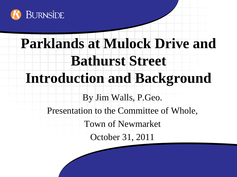

# **Parklands at Mulock Drive and Bathurst Street Introduction and Background** By Jim Walls, P.Geo. Presentation to the Committee of Whole, Town of Newmarket October 31, 2011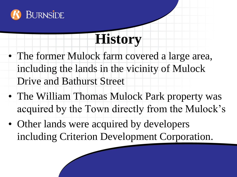

## **History**

- The former Mulock farm covered a large area, including the lands in the vicinity of Mulock Drive and Bathurst Street
- The William Thomas Mulock Park property was acquired by the Town directly from the Mulock's
- Other lands were acquired by developers including Criterion Development Corporation.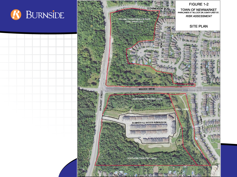

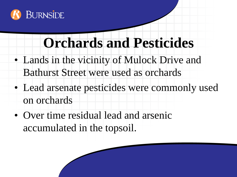

#### **Orchards and Pesticides**

- Lands in the vicinity of Mulock Drive and Bathurst Street were used as orchards
- Lead arsenate pesticides were commonly used on orchards
- Over time residual lead and arsenic accumulated in the topsoil.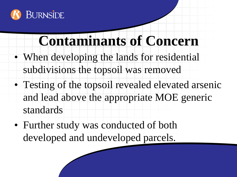

#### **Contaminants of Concern**

- When developing the lands for residential subdivisions the topsoil was removed
- Testing of the topsoil revealed elevated arsenic and lead above the appropriate MOE generic standards
- Further study was conducted of both developed and undeveloped parcels.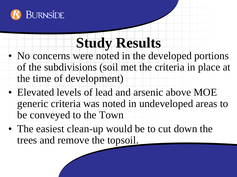

### **Study Results**

- No concerns were noted in the developed portions of the subdivisions (soil met the criteria in place at the time of development)
- Elevated levels of lead and arsenic above MOE generic criteria was noted in undeveloped areas to be conveyed to the Town
- The easiest clean-up would be to cut down the trees and remove the topsoil.